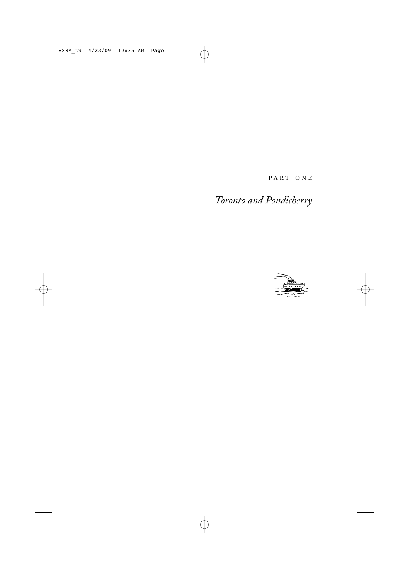PART ONE

*Toronto and Pondicherry*

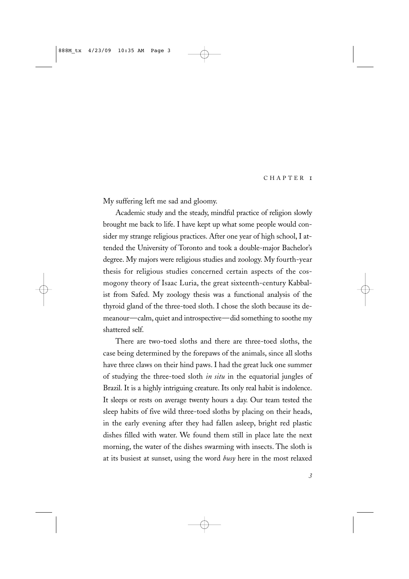### CHAPTER 1

My suffering left me sad and gloomy.

Academic study and the steady, mindful practice of religion slowly brought me back to life. I have kept up what some people would consider my strange religious practices. After one year of high school, I attended the University of Toronto and took a double-major Bachelor's degree. My majors were religious studies and zoology. My fourth-year thesis for religious studies concerned certain aspects of the cosmogony theory of Isaac Luria, the great sixteenth-century Kabbalist from Safed. My zoology thesis was a functional analysis of the thyroid gland of the three-toed sloth. I chose the sloth because its demeanour—calm, quiet and introspective—did something to soothe my shattered self.

There are two-toed sloths and there are three-toed sloths, the case being determined by the forepaws of the animals, since all sloths have three claws on their hind paws. I had the great luck one summer of studying the three-toed sloth *in situ* in the equatorial jungles of Brazil. It is a highly intriguing creature. Its only real habit is indolence. It sleeps or rests on average twenty hours a day. Our team tested the sleep habits of five wild three-toed sloths by placing on their heads, in the early evening after they had fallen asleep, bright red plastic dishes filled with water. We found them still in place late the next morning, the water of the dishes swarming with insects. The sloth is at its busiest at sunset, using the word *busy* here in the most relaxed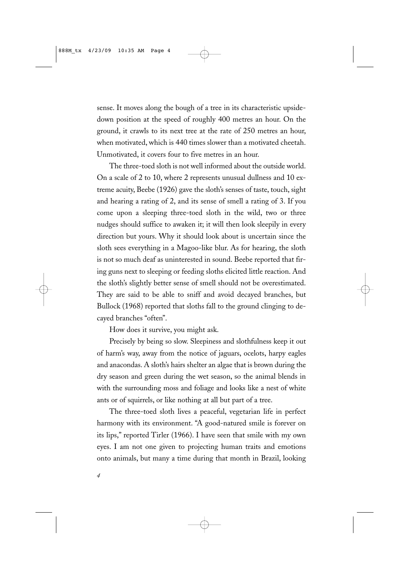sense. It moves along the bough of a tree in its characteristic upsidedown position at the speed of roughly 400 metres an hour. On the ground, it crawls to its next tree at the rate of 250 metres an hour, when motivated, which is 440 times slower than a motivated cheetah. Unmotivated, it covers four to five metres in an hour.

The three-toed sloth is not well informed about the outside world. On a scale of 2 to 10, where 2 represents unusual dullness and 10 extreme acuity, Beebe (1926) gave the sloth's senses of taste, touch, sight and hearing a rating of 2, and its sense of smell a rating of 3. If you come upon a sleeping three-toed sloth in the wild, two or three nudges should suffice to awaken it; it will then look sleepily in every direction but yours. Why it should look about is uncertain since the sloth sees everything in a Magoo-like blur. As for hearing, the sloth is not so much deaf as uninterested in sound. Beebe reported that firing guns next to sleeping or feeding sloths elicited little reaction. And the sloth's slightly better sense of smell should not be overestimated. They are said to be able to sniff and avoid decayed branches, but Bullock (1968) reported that sloths fall to the ground clinging to decayed branches "often".

How does it survive, you might ask.

Precisely by being so slow. Sleepiness and slothfulness keep it out of harm's way, away from the notice of jaguars, ocelots, harpy eagles and anacondas. A sloth's hairs shelter an algae that is brown during the dry season and green during the wet season, so the animal blends in with the surrounding moss and foliage and looks like a nest of white ants or of squirrels, or like nothing at all but part of a tree.

The three-toed sloth lives a peaceful, vegetarian life in perfect harmony with its environment. "A good-natured smile is forever on its lips," reported Tirler (1966). I have seen that smile with my own eyes. I am not one given to projecting human traits and emotions onto animals, but many a time during that month in Brazil, looking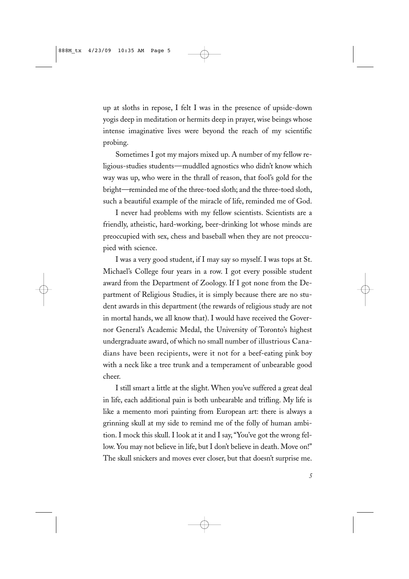up at sloths in repose, I felt I was in the presence of upside-down yogis deep in meditation or hermits deep in prayer, wise beings whose intense imaginative lives were beyond the reach of my scientific probing.

Sometimes I got my majors mixed up. A number of my fellow religious-studies students—muddled agnostics who didn't know which way was up, who were in the thrall of reason, that fool's gold for the bright—reminded me of the three-toed sloth; and the three-toed sloth, such a beautiful example of the miracle of life, reminded me of God.

I never had problems with my fellow scientists. Scientists are a friendly, atheistic, hard-working, beer-drinking lot whose minds are preoccupied with sex, chess and baseball when they are not preoccupied with science.

I was a very good student, if I may say so myself. I was tops at St. Michael's College four years in a row. I got every possible student award from the Department of Zoology. If I got none from the Department of Religious Studies, it is simply because there are no student awards in this department (the rewards of religious study are not in mortal hands, we all know that). I would have received the Governor General's Academic Medal, the University of Toronto's highest undergraduate award, of which no small number of illustrious Canadians have been recipients, were it not for a beef-eating pink boy with a neck like a tree trunk and a temperament of unbearable good cheer.

I still smart a little at the slight. When you've suffered a great deal in life, each additional pain is both unbearable and trifling. My life is like a memento mori painting from European art: there is always a grinning skull at my side to remind me of the folly of human ambition. I mock this skull. I look at it and I say, "You've got the wrong fellow. You may not believe in life, but I don't believe in death. Move on!" The skull snickers and moves ever closer, but that doesn't surprise me.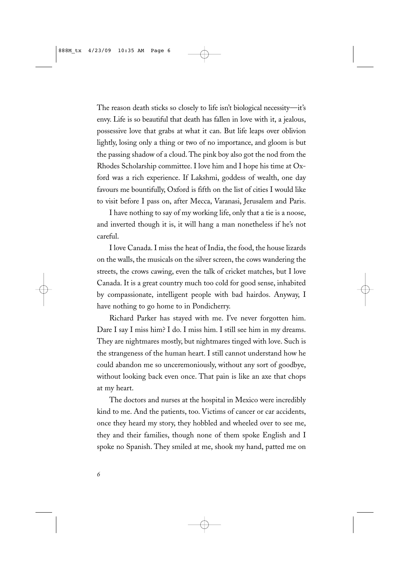The reason death sticks so closely to life isn't biological necessity—it's envy. Life is so beautiful that death has fallen in love with it, a jealous, possessive love that grabs at what it can. But life leaps over oblivion lightly, losing only a thing or two of no importance, and gloom is but the passing shadow of a cloud. The pink boy also got the nod from the Rhodes Scholarship committee. I love him and I hope his time at Oxford was a rich experience. If Lakshmi, goddess of wealth, one day favours me bountifully, Oxford is fifth on the list of cities I would like to visit before I pass on, after Mecca, Varanasi, Jerusalem and Paris.

I have nothing to say of my working life, only that a tie is a noose, and inverted though it is, it will hang a man nonetheless if he's not careful.

I love Canada. I miss the heat of India, the food, the house lizards on the walls, the musicals on the silver screen, the cows wandering the streets, the crows cawing, even the talk of cricket matches, but I love Canada. It is a great country much too cold for good sense, inhabited by compassionate, intelligent people with bad hairdos. Anyway, I have nothing to go home to in Pondicherry.

Richard Parker has stayed with me. I've never forgotten him. Dare I say I miss him? I do. I miss him. I still see him in my dreams. They are nightmares mostly, but nightmares tinged with love. Such is the strangeness of the human heart. I still cannot understand how he could abandon me so unceremoniously, without any sort of goodbye, without looking back even once. That pain is like an axe that chops at my heart.

The doctors and nurses at the hospital in Mexico were incredibly kind to me. And the patients, too. Victims of cancer or car accidents, once they heard my story, they hobbled and wheeled over to see me, they and their families, though none of them spoke English and I spoke no Spanish. They smiled at me, shook my hand, patted me on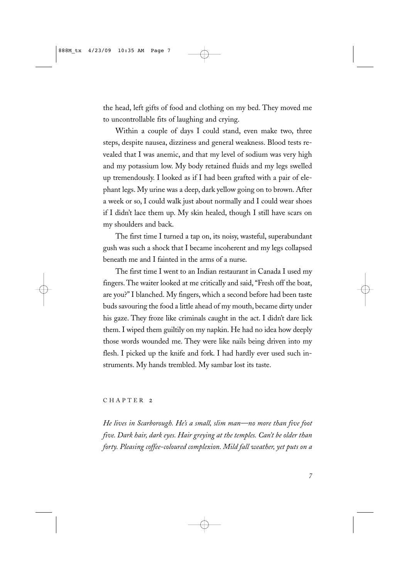the head, left gifts of food and clothing on my bed. They moved me to uncontrollable fits of laughing and crying.

Within a couple of days I could stand, even make two, three steps, despite nausea, dizziness and general weakness. Blood tests revealed that I was anemic, and that my level of sodium was very high and my potassium low. My body retained fluids and my legs swelled up tremendously. I looked as if I had been grafted with a pair of elephant legs. My urine was a deep, dark yellow going on to brown. After a week or so, I could walk just about normally and I could wear shoes if I didn't lace them up. My skin healed, though I still have scars on my shoulders and back.

The first time I turned a tap on, its noisy, wasteful, superabundant gush was such a shock that I became incoherent and my legs collapsed beneath me and I fainted in the arms of a nurse.

The first time I went to an Indian restaurant in Canada I used my fingers. The waiter looked at me critically and said, "Fresh off the boat, are you?" I blanched. My fingers, which a second before had been taste buds savouring the food a little ahead of my mouth, became dirty under his gaze. They froze like criminals caught in the act. I didn't dare lick them. I wiped them guiltily on my napkin. He had no idea how deeply those words wounded me. They were like nails being driven into my flesh. I picked up the knife and fork. I had hardly ever used such instruments. My hands trembled. My sambar lost its taste.

CHAPTER 2

*He lives in Scarborough. He's a small, slim man—no more than five foot five. Dark hair, dark eyes. Hair greying at the temples. Can't be older than forty. Pleasing coffee-coloured complexion. Mild fall weather, yet puts on a*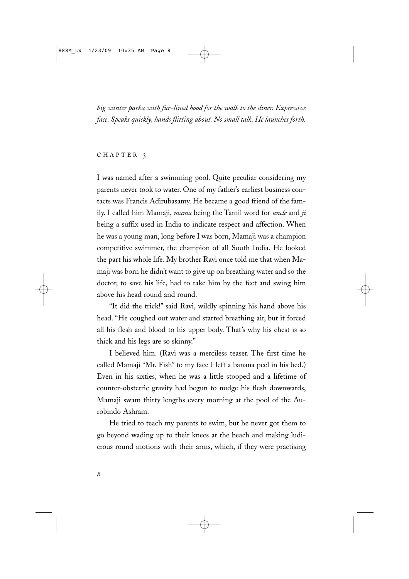*big winter parka with fur-lined hood for the walk to the diner. Expressive face. Speaks quickly, hands flitting about. No small talk. He launches forth.*

### CHAPTER 3

I was named after a swimming pool. Quite peculiar considering my parents never took to water. One of my father's earliest business contacts was Francis Adirubasamy. He became a good friend of the family. I called him Mamaji, *mama* being the Tamil word for *uncle* and *ji* being a suffix used in India to indicate respect and affection. When he was a young man, long before I was born, Mamaji was a champion competitive swimmer, the champion of all South India. He looked the part his whole life. My brother Ravi once told me that when Mamaji was born he didn't want to give up on breathing water and so the doctor, to save his life, had to take him by the feet and swing him above his head round and round.

"It did the trick!" said Ravi, wildly spinning his hand above his head. "He coughed out water and started breathing air, but it forced all his flesh and blood to his upper body. That's why his chest is so thick and his legs are so skinny."

I believed him. (Ravi was a merciless teaser. The first time he called Mamaji "Mr. Fish" to my face I left a banana peel in his bed.) Even in his sixties, when he was a little stooped and a lifetime of counter-obstetric gravity had begun to nudge his flesh downwards, Mamaji swam thirty lengths every morning at the pool of the Aurobindo Ashram.

He tried to teach my parents to swim, but he never got them to go beyond wading up to their knees at the beach and making ludicrous round motions with their arms, which, if they were practising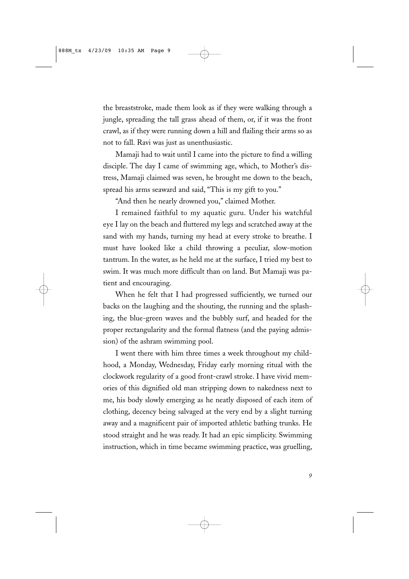the breaststroke, made them look as if they were walking through a jungle, spreading the tall grass ahead of them, or, if it was the front crawl, as if they were running down a hill and flailing their arms so as not to fall. Ravi was just as unenthusiastic.

Mamaji had to wait until I came into the picture to find a willing disciple. The day I came of swimming age, which, to Mother's distress, Mamaji claimed was seven, he brought me down to the beach, spread his arms seaward and said, "This is my gift to you."

"And then he nearly drowned you," claimed Mother.

I remained faithful to my aquatic guru. Under his watchful eye I lay on the beach and fluttered my legs and scratched away at the sand with my hands, turning my head at every stroke to breathe. I must have looked like a child throwing a peculiar, slow-motion tantrum. In the water, as he held me at the surface, I tried my best to swim. It was much more difficult than on land. But Mamaji was patient and encouraging.

When he felt that I had progressed sufficiently, we turned our backs on the laughing and the shouting, the running and the splashing, the blue-green waves and the bubbly surf, and headed for the proper rectangularity and the formal flatness (and the paying admission) of the ashram swimming pool.

I went there with him three times a week throughout my childhood, a Monday, Wednesday, Friday early morning ritual with the clockwork regularity of a good front-crawl stroke. I have vivid memories of this dignified old man stripping down to nakedness next to me, his body slowly emerging as he neatly disposed of each item of clothing, decency being salvaged at the very end by a slight turning away and a magnificent pair of imported athletic bathing trunks. He stood straight and he was ready. It had an epic simplicity. Swimming instruction, which in time became swimming practice, was gruelling,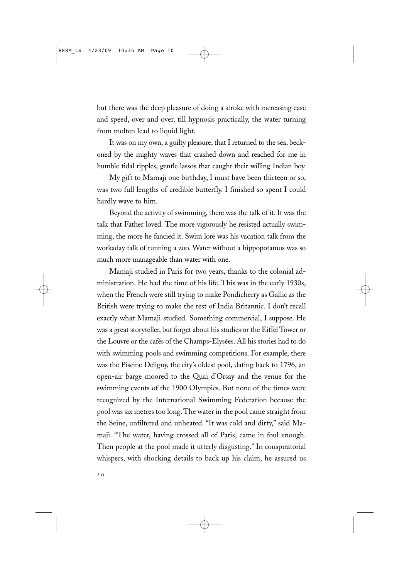but there was the deep pleasure of doing a stroke with increasing ease and speed, over and over, till hypnosis practically, the water turning from molten lead to liquid light.

It was on my own, a guilty pleasure, that I returned to the sea, beckoned by the mighty waves that crashed down and reached for me in humble tidal ripples, gentle lassos that caught their willing Indian boy.

My gift to Mamaji one birthday, I must have been thirteen or so, was two full lengths of credible butterfly. I finished so spent I could hardly wave to him.

Beyond the activity of swimming, there was the talk of it. It was the talk that Father loved. The more vigorously he resisted actually swimming, the more he fancied it. Swim lore was his vacation talk from the workaday talk of running a zoo. Water without a hippopotamus was so much more manageable than water with one.

Mamaji studied in Paris for two years, thanks to the colonial administration. He had the time of his life. This was in the early 1930s, when the French were still trying to make Pondicherry as Gallic as the British were trying to make the rest of India Britannic. I don't recall exactly what Mamaji studied. Something commercial, I suppose. He was a great storyteller, but forget about his studies or the Eiffel Tower or the Louvre or the cafés of the Champs-Elysées. All his stories had to do with swimming pools and swimming competitions. For example, there was the Piscine Deligny, the city's oldest pool, dating back to 1796, an open-air barge moored to the Quai d'Orsay and the venue for the swimming events of the 1900 Olympics. But none of the times were recognized by the International Swimming Federation because the pool was six metres too long. The water in the pool came straight from the Seine, unfiltered and unheated. "It was cold and dirty," said Mamaji. "The water, having crossed all of Paris, came in foul enough. Then people at the pool made it utterly disgusting." In conspiratorial whispers, with shocking details to back up his claim, he assured us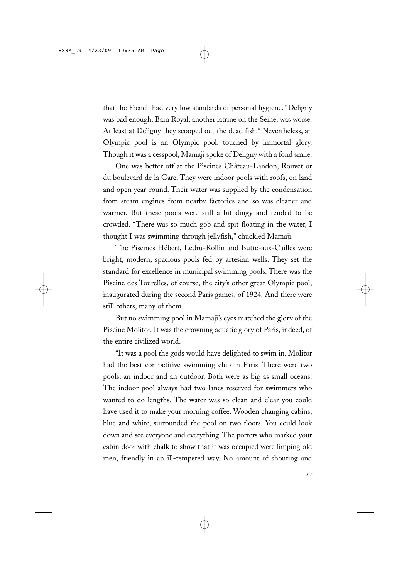that the French had very low standards of personal hygiene. "Deligny was bad enough. Bain Royal, another latrine on the Seine, was worse. At least at Deligny they scooped out the dead fish." Nevertheless, an Olympic pool is an Olympic pool, touched by immortal glory. Though it was a cesspool, Mamaji spoke of Deligny with a fond smile.

One was better off at the Piscines Château-Landon, Rouvet or du boulevard de la Gare. They were indoor pools with roofs, on land and open year-round. Their water was supplied by the condensation from steam engines from nearby factories and so was cleaner and warmer. But these pools were still a bit dingy and tended to be crowded. "There was so much gob and spit floating in the water, I thought I was swimming through jellyfish," chuckled Mamaji.

The Piscines Hébert, Ledru-Rollin and Butte-aux-Cailles were bright, modern, spacious pools fed by artesian wells. They set the standard for excellence in municipal swimming pools. There was the Piscine des Tourelles, of course, the city's other great Olympic pool, inaugurated during the second Paris games, of 1924. And there were still others, many of them.

But no swimming pool in Mamaji's eyes matched the glory of the Piscine Molitor. It was the crowning aquatic glory of Paris, indeed, of the entire civilized world.

"It was a pool the gods would have delighted to swim in. Molitor had the best competitive swimming club in Paris. There were two pools, an indoor and an outdoor. Both were as big as small oceans. The indoor pool always had two lanes reserved for swimmers who wanted to do lengths. The water was so clean and clear you could have used it to make your morning coffee. Wooden changing cabins, blue and white, surrounded the pool on two floors. You could look down and see everyone and everything. The porters who marked your cabin door with chalk to show that it was occupied were limping old men, friendly in an ill-tempered way. No amount of shouting and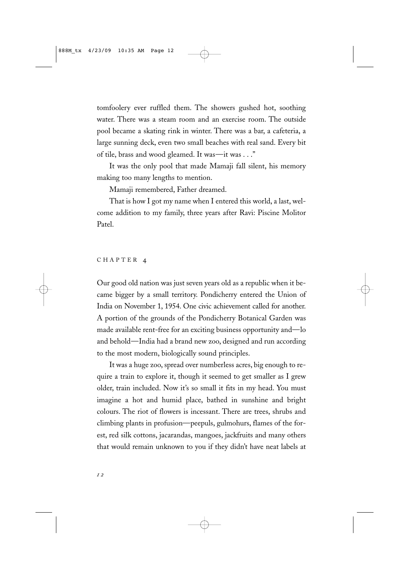tomfoolery ever ruffled them. The showers gushed hot, soothing water. There was a steam room and an exercise room. The outside pool became a skating rink in winter. There was a bar, a cafeteria, a large sunning deck, even two small beaches with real sand. Every bit of tile, brass and wood gleamed. It was—it was . . ."

It was the only pool that made Mamaji fall silent, his memory making too many lengths to mention.

Mamaji remembered, Father dreamed.

That is how I got my name when I entered this world, a last, welcome addition to my family, three years after Ravi: Piscine Molitor Patel.

```
CHAPTER 4
```
Our good old nation was just seven years old as a republic when it became bigger by a small territory. Pondicherry entered the Union of India on November 1, 1954. One civic achievement called for another. A portion of the grounds of the Pondicherry Botanical Garden was made available rent-free for an exciting business opportunity and—lo and behold—India had a brand new zoo, designed and run according to the most modern, biologically sound principles.

It was a huge zoo, spread over numberless acres, big enough to require a train to explore it, though it seemed to get smaller as I grew older, train included. Now it's so small it fits in my head. You must imagine a hot and humid place, bathed in sunshine and bright colours. The riot of flowers is incessant. There are trees, shrubs and climbing plants in profusion—peepuls, gulmohurs, flames of the forest, red silk cottons, jacarandas, mangoes, jackfruits and many others that would remain unknown to you if they didn't have neat labels at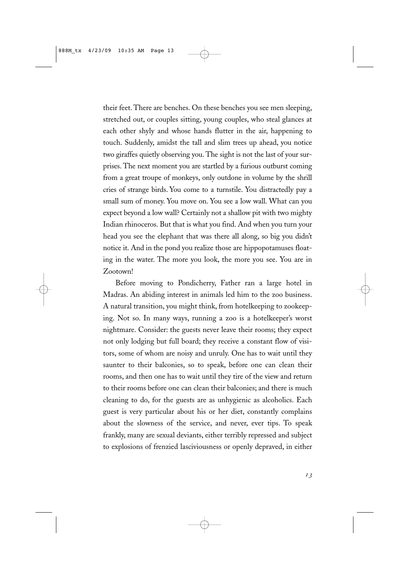their feet. There are benches. On these benches you see men sleeping, stretched out, or couples sitting, young couples, who steal glances at each other shyly and whose hands flutter in the air, happening to touch. Suddenly, amidst the tall and slim trees up ahead, you notice two giraffes quietly observing you. The sight is not the last of your surprises. The next moment you are startled by a furious outburst coming from a great troupe of monkeys, only outdone in volume by the shrill cries of strange birds. You come to a turnstile. You distractedly pay a small sum of money. You move on. You see a low wall. What can you expect beyond a low wall? Certainly not a shallow pit with two mighty Indian rhinoceros. But that is what you find. And when you turn your head you see the elephant that was there all along, so big you didn't notice it. And in the pond you realize those are hippopotamuses floating in the water. The more you look, the more you see. You are in Zootown!

Before moving to Pondicherry, Father ran a large hotel in Madras. An abiding interest in animals led him to the zoo business. A natural transition, you might think, from hotelkeeping to zookeeping. Not so. In many ways, running a zoo is a hotelkeeper's worst nightmare. Consider: the guests never leave their rooms; they expect not only lodging but full board; they receive a constant flow of visitors, some of whom are noisy and unruly. One has to wait until they saunter to their balconies, so to speak, before one can clean their rooms, and then one has to wait until they tire of the view and return to their rooms before one can clean their balconies; and there is much cleaning to do, for the guests are as unhygienic as alcoholics. Each guest is very particular about his or her diet, constantly complains about the slowness of the service, and never, ever tips. To speak frankly, many are sexual deviants, either terribly repressed and subject to explosions of frenzied lasciviousness or openly depraved, in either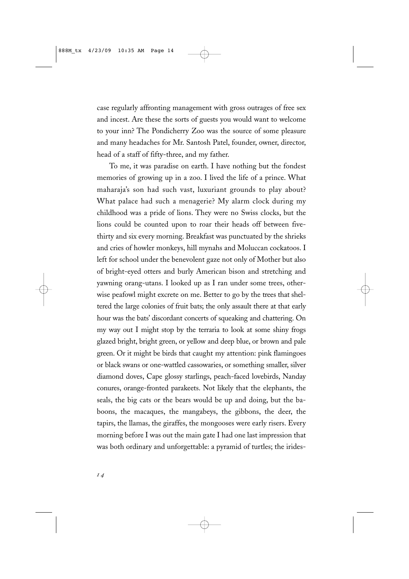case regularly affronting management with gross outrages of free sex and incest. Are these the sorts of guests you would want to welcome to your inn? The Pondicherry Zoo was the source of some pleasure and many headaches for Mr. Santosh Patel, founder, owner, director, head of a staff of fifty-three, and my father.

To me, it was paradise on earth. I have nothing but the fondest memories of growing up in a zoo. I lived the life of a prince. What maharaja's son had such vast, luxuriant grounds to play about? What palace had such a menagerie? My alarm clock during my childhood was a pride of lions. They were no Swiss clocks, but the lions could be counted upon to roar their heads off between fivethirty and six every morning. Breakfast was punctuated by the shrieks and cries of howler monkeys, hill mynahs and Moluccan cockatoos. I left for school under the benevolent gaze not only of Mother but also of bright-eyed otters and burly American bison and stretching and yawning orang-utans. I looked up as I ran under some trees, otherwise peafowl might excrete on me. Better to go by the trees that sheltered the large colonies of fruit bats; the only assault there at that early hour was the bats' discordant concerts of squeaking and chattering. On my way out I might stop by the terraria to look at some shiny frogs glazed bright, bright green, or yellow and deep blue, or brown and pale green. Or it might be birds that caught my attention: pink flamingoes or black swans or one-wattled cassowaries, or something smaller, silver diamond doves, Cape glossy starlings, peach-faced lovebirds, Nanday conures, orange-fronted parakeets. Not likely that the elephants, the seals, the big cats or the bears would be up and doing, but the baboons, the macaques, the mangabeys, the gibbons, the deer, the tapirs, the llamas, the giraffes, the mongooses were early risers. Every morning before I was out the main gate I had one last impression that was both ordinary and unforgettable: a pyramid of turtles; the irides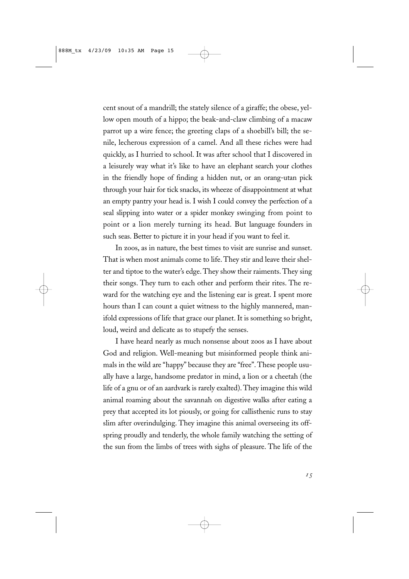cent snout of a mandrill; the stately silence of a giraffe; the obese, yellow open mouth of a hippo; the beak-and-claw climbing of a macaw parrot up a wire fence; the greeting claps of a shoebill's bill; the senile, lecherous expression of a camel. And all these riches were had quickly, as I hurried to school. It was after school that I discovered in a leisurely way what it's like to have an elephant search your clothes in the friendly hope of finding a hidden nut, or an orang-utan pick through your hair for tick snacks, its wheeze of disappointment at what an empty pantry your head is. I wish I could convey the perfection of a seal slipping into water or a spider monkey swinging from point to point or a lion merely turning its head. But language founders in such seas. Better to picture it in your head if you want to feel it.

In zoos, as in nature, the best times to visit are sunrise and sunset. That is when most animals come to life. They stir and leave their shelter and tiptoe to the water's edge. They show their raiments. They sing their songs. They turn to each other and perform their rites. The reward for the watching eye and the listening ear is great. I spent more hours than I can count a quiet witness to the highly mannered, manifold expressions of life that grace our planet. It is something so bright, loud, weird and delicate as to stupefy the senses.

I have heard nearly as much nonsense about zoos as I have about God and religion. Well-meaning but misinformed people think animals in the wild are "happy" because they are "free". These people usually have a large, handsome predator in mind, a lion or a cheetah (the life of a gnu or of an aardvark is rarely exalted). They imagine this wild animal roaming about the savannah on digestive walks after eating a prey that accepted its lot piously, or going for callisthenic runs to stay slim after overindulging. They imagine this animal overseeing its offspring proudly and tenderly, the whole family watching the setting of the sun from the limbs of trees with sighs of pleasure. The life of the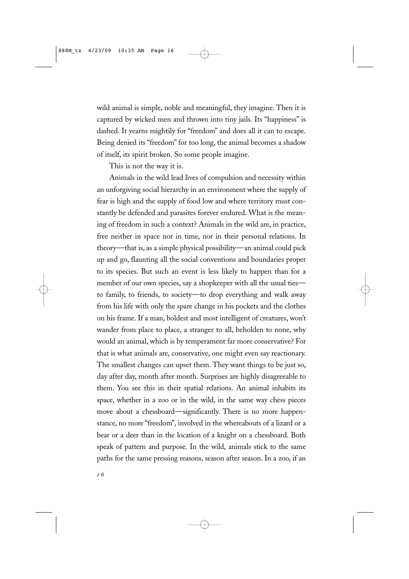wild animal is simple, noble and meaningful, they imagine. Then it is captured by wicked men and thrown into tiny jails. Its "happiness" is dashed. It yearns mightily for "freedom" and does all it can to escape. Being denied its "freedom" for too long, the animal becomes a shadow of itself, its spirit broken. So some people imagine.

This is not the way it is.

Animals in the wild lead lives of compulsion and necessity within an unforgiving social hierarchy in an environment where the supply of fear is high and the supply of food low and where territory must constantly be defended and parasites forever endured. What is the meaning of freedom in such a context? Animals in the wild are, in practice, free neither in space nor in time, nor in their personal relations. In theory—that is, as a simple physical possibility—an animal could pick up and go, flaunting all the social conventions and boundaries proper to its species. But such an event is less likely to happen than for a member of our own species, say a shopkeeper with all the usual ties to family, to friends, to society—to drop everything and walk away from his life with only the spare change in his pockets and the clothes on his frame. If a man, boldest and most intelligent of creatures, won't wander from place to place, a stranger to all, beholden to none, why would an animal, which is by temperament far more conservative? For that is what animals are, conservative, one might even say reactionary. The smallest changes can upset them. They want things to be just so, day after day, month after month. Surprises are highly disagreeable to them. You see this in their spatial relations. An animal inhabits its space, whether in a zoo or in the wild, in the same way chess pieces move about a chessboard—significantly. There is no more happenstance, no more "freedom", involved in the whereabouts of a lizard or a bear or a deer than in the location of a knight on a chessboard. Both speak of pattern and purpose. In the wild, animals stick to the same paths for the same pressing reasons, season after season. In a zoo, if an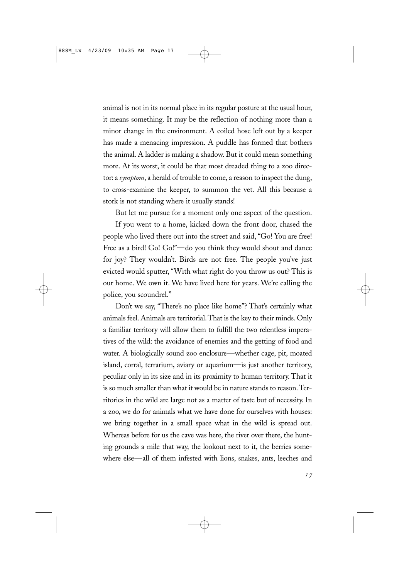animal is not in its normal place in its regular posture at the usual hour, it means something. It may be the reflection of nothing more than a minor change in the environment. A coiled hose left out by a keeper has made a menacing impression. A puddle has formed that bothers the animal. A ladder is making a shadow. But it could mean something more. At its worst, it could be that most dreaded thing to a zoo director: a *symptom*, a herald of trouble to come, a reason to inspect the dung, to cross-examine the keeper, to summon the vet. All this because a stork is not standing where it usually stands!

But let me pursue for a moment only one aspect of the question.

If you went to a home, kicked down the front door, chased the people who lived there out into the street and said, "Go! You are free! Free as a bird! Go! Go!"—do you think they would shout and dance for joy? They wouldn't. Birds are not free. The people you've just evicted would sputter, "With what right do you throw us out? This is our home. We own it. We have lived here for years. We're calling the police, you scoundrel."

Don't we say, "There's no place like home"? That's certainly what animals feel. Animals are territorial.That is the key to their minds. Only a familiar territory will allow them to fulfill the two relentless imperatives of the wild: the avoidance of enemies and the getting of food and water. A biologically sound zoo enclosure—whether cage, pit, moated island, corral, terrarium, aviary or aquarium—is just another territory, peculiar only in its size and in its proximity to human territory. That it is so much smaller than what it would be in nature stands to reason.Territories in the wild are large not as a matter of taste but of necessity. In a zoo, we do for animals what we have done for ourselves with houses: we bring together in a small space what in the wild is spread out. Whereas before for us the cave was here, the river over there, the hunting grounds a mile that way, the lookout next to it, the berries somewhere else—all of them infested with lions, snakes, ants, leeches and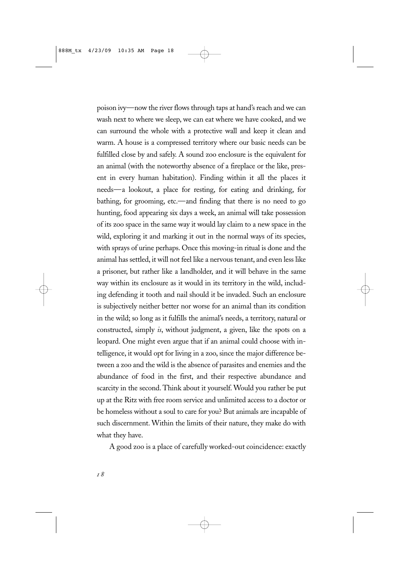poison ivy—now the river flows through taps at hand's reach and we can wash next to where we sleep, we can eat where we have cooked, and we can surround the whole with a protective wall and keep it clean and warm. A house is a compressed territory where our basic needs can be fulfilled close by and safely. A sound zoo enclosure is the equivalent for an animal (with the noteworthy absence of a fireplace or the like, present in every human habitation). Finding within it all the places it needs—a lookout, a place for resting, for eating and drinking, for bathing, for grooming, etc.—and finding that there is no need to go hunting, food appearing six days a week, an animal will take possession of its zoo space in the same way it would lay claim to a new space in the wild, exploring it and marking it out in the normal ways of its species, with sprays of urine perhaps. Once this moving-in ritual is done and the animal has settled, it will not feel like a nervous tenant, and even less like a prisoner, but rather like a landholder, and it will behave in the same way within its enclosure as it would in its territory in the wild, including defending it tooth and nail should it be invaded. Such an enclosure is subjectively neither better nor worse for an animal than its condition in the wild; so long as it fulfills the animal's needs, a territory, natural or constructed, simply *is*, without judgment, a given, like the spots on a leopard. One might even argue that if an animal could choose with intelligence, it would opt for living in a zoo, since the major difference between a zoo and the wild is the absence of parasites and enemies and the abundance of food in the first, and their respective abundance and scarcity in the second. Think about it yourself. Would you rather be put up at the Ritz with free room service and unlimited access to a doctor or be homeless without a soul to care for you? But animals are incapable of such discernment. Within the limits of their nature, they make do with what they have.

A good zoo is a place of carefully worked-out coincidence: exactly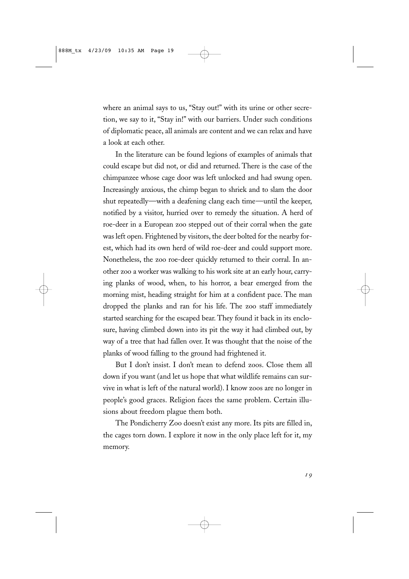where an animal says to us, "Stay out!" with its urine or other secretion, we say to it, "Stay in!" with our barriers. Under such conditions of diplomatic peace, all animals are content and we can relax and have a look at each other.

In the literature can be found legions of examples of animals that could escape but did not, or did and returned. There is the case of the chimpanzee whose cage door was left unlocked and had swung open. Increasingly anxious, the chimp began to shriek and to slam the door shut repeatedly—with a deafening clang each time—until the keeper, notified by a visitor, hurried over to remedy the situation. A herd of roe-deer in a European zoo stepped out of their corral when the gate was left open. Frightened by visitors, the deer bolted for the nearby forest, which had its own herd of wild roe-deer and could support more. Nonetheless, the zoo roe-deer quickly returned to their corral. In another zoo a worker was walking to his work site at an early hour, carrying planks of wood, when, to his horror, a bear emerged from the morning mist, heading straight for him at a confident pace. The man dropped the planks and ran for his life. The zoo staff immediately started searching for the escaped bear. They found it back in its enclosure, having climbed down into its pit the way it had climbed out, by way of a tree that had fallen over. It was thought that the noise of the planks of wood falling to the ground had frightened it.

But I don't insist. I don't mean to defend zoos. Close them all down if you want (and let us hope that what wildlife remains can survive in what is left of the natural world). I know zoos are no longer in people's good graces. Religion faces the same problem. Certain illusions about freedom plague them both.

The Pondicherry Zoo doesn't exist any more. Its pits are filled in, the cages torn down. I explore it now in the only place left for it, my memory.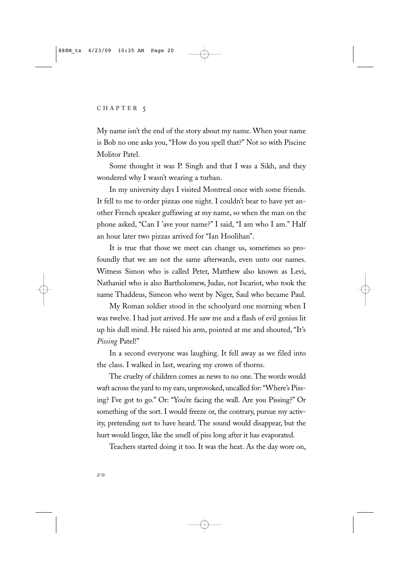My name isn't the end of the story about my name. When your name is Bob no one asks you, "How do you spell that?" Not so with Piscine Molitor Patel.

Some thought it was P. Singh and that I was a Sikh, and they wondered why I wasn't wearing a turban.

In my university days I visited Montreal once with some friends. It fell to me to order pizzas one night. I couldn't bear to have yet another French speaker guffawing at my name, so when the man on the phone asked, "Can I 'ave your name?" I said, "I am who I am." Half an hour later two pizzas arrived for "Ian Hoolihan".

It is true that those we meet can change us, sometimes so profoundly that we are not the same afterwards, even unto our names. Witness Simon who is called Peter, Matthew also known as Levi, Nathaniel who is also Bartholomew, Judas, not Iscariot, who took the name Thaddeus, Simeon who went by Niger, Saul who became Paul.

My Roman soldier stood in the schoolyard one morning when I was twelve. I had just arrived. He saw me and a flash of evil genius lit up his dull mind. He raised his arm, pointed at me and shouted, "It's *Pissing* Patel!"

In a second everyone was laughing. It fell away as we filed into the class. I walked in last, wearing my crown of thorns.

The cruelty of children comes as news to no one. The words would waft across the yard to my ears, unprovoked, uncalled for:"Where's Pissing? I've got to go." Or: "You're facing the wall. Are you Pissing?" Or something of the sort. I would freeze or, the contrary, pursue my activity, pretending not to have heard. The sound would disappear, but the hurt would linger, like the smell of piss long after it has evaporated.

Teachers started doing it too. It was the heat. As the day wore on,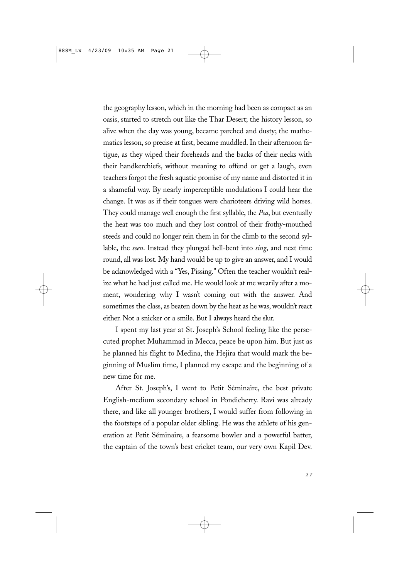the geography lesson, which in the morning had been as compact as an oasis, started to stretch out like the Thar Desert; the history lesson, so alive when the day was young, became parched and dusty; the mathematics lesson, so precise at first, became muddled. In their afternoon fatigue, as they wiped their foreheads and the backs of their necks with their handkerchiefs, without meaning to offend or get a laugh, even teachers forgot the fresh aquatic promise of my name and distorted it in a shameful way. By nearly imperceptible modulations I could hear the change. It was as if their tongues were charioteers driving wild horses. They could manage well enough the first syllable, the *Pea*, but eventually the heat was too much and they lost control of their frothy-mouthed steeds and could no longer rein them in for the climb to the second syllable, the *seen*. Instead they plunged hell-bent into *sing*, and next time round, all was lost. My hand would be up to give an answer, and I would be acknowledged with a "Yes, Pissing." Often the teacher wouldn't realize what he had just called me. He would look at me wearily after a moment, wondering why I wasn't coming out with the answer. And sometimes the class, as beaten down by the heat as he was, wouldn't react either. Not a snicker or a smile. But I always heard the slur.

I spent my last year at St. Joseph's School feeling like the persecuted prophet Muhammad in Mecca, peace be upon him. But just as he planned his flight to Medina, the Hejira that would mark the beginning of Muslim time, I planned my escape and the beginning of a new time for me.

After St. Joseph's, I went to Petit Séminaire, the best private English-medium secondary school in Pondicherry. Ravi was already there, and like all younger brothers, I would suffer from following in the footsteps of a popular older sibling. He was the athlete of his generation at Petit Séminaire, a fearsome bowler and a powerful batter, the captain of the town's best cricket team, our very own Kapil Dev.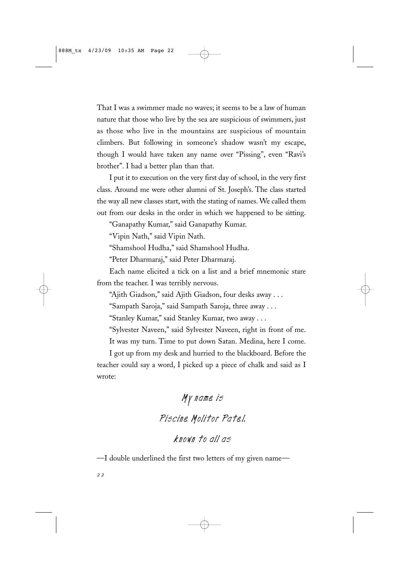That I was a swimmer made no waves; it seems to be a law of human nature that those who live by the sea are suspicious of swimmers, just as those who live in the mountains are suspicious of mountain climbers. But following in someone's shadow wasn't my escape, though I would have taken any name over "Pissing", even "Ravi's brother". I had a better plan than that.

I put it to execution on the very first day of school, in the very first class. Around me were other alumni of St. Joseph's. The class started the way all new classes start, with the stating of names. We called them out from our desks in the order in which we happened to be sitting.

"Ganapathy Kumar," said Ganapathy Kumar.

"Vipin Nath," said Vipin Nath.

"Shamshool Hudha," said Shamshool Hudha.

"Peter Dharmaraj," said Peter Dharmaraj.

Each name elicited a tick on a list and a brief mnemonic stare from the teacher. I was terribly nervous.

"Ajith Giadson," said Ajith Giadson, four desks away . . .

"Sampath Saroja," said Sampath Saroja, three away . . .

"Stanley Kumar," said Stanley Kumar, two away . . .

"Sylvester Naveen," said Sylvester Naveen, right in front of me.

It was my turn. Time to put down Satan. Medina, here I come.

I got up from my desk and hurried to the blackboard. Before the teacher could say a word, I picked up a piece of chalk and said as I wrote:

# My name is

## Piscine Molitor Patel,

known to all as

—I double underlined the first two letters of my given name—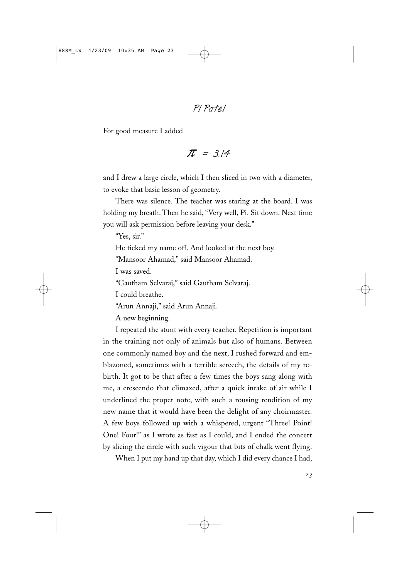### Pi Patel

For good measure I added

$$
\pi = 3.74
$$

and I drew a large circle, which I then sliced in two with a diameter, to evoke that basic lesson of geometry.

There was silence. The teacher was staring at the board. I was holding my breath. Then he said, "Very well, Pi. Sit down. Next time you will ask permission before leaving your desk."

"Yes, sir."

He ticked my name off. And looked at the next boy.

"Mansoor Ahamad," said Mansoor Ahamad.

I was saved.

"Gautham Selvaraj," said Gautham Selvaraj.

I could breathe.

"Arun Annaji," said Arun Annaji.

A new beginning.

I repeated the stunt with every teacher. Repetition is important in the training not only of animals but also of humans. Between one commonly named boy and the next, I rushed forward and emblazoned, sometimes with a terrible screech, the details of my rebirth. It got to be that after a few times the boys sang along with me, a crescendo that climaxed, after a quick intake of air while I underlined the proper note, with such a rousing rendition of my new name that it would have been the delight of any choirmaster. A few boys followed up with a whispered, urgent "Three! Point! One! Four!" as I wrote as fast as I could, and I ended the concert by slicing the circle with such vigour that bits of chalk went flying.

When I put my hand up that day, which I did every chance I had,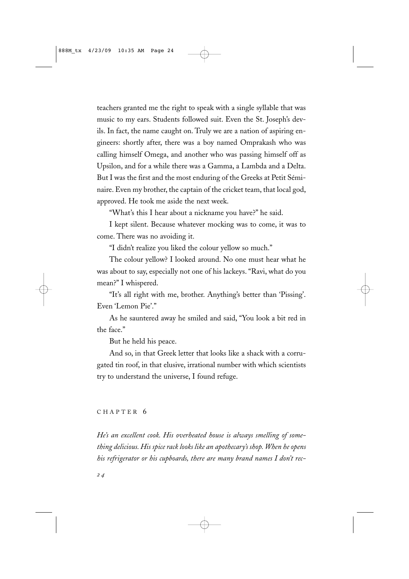teachers granted me the right to speak with a single syllable that was music to my ears. Students followed suit. Even the St. Joseph's devils. In fact, the name caught on. Truly we are a nation of aspiring engineers: shortly after, there was a boy named Omprakash who was calling himself Omega, and another who was passing himself off as Upsilon, and for a while there was a Gamma, a Lambda and a Delta. But I was the first and the most enduring of the Greeks at Petit Séminaire. Even my brother, the captain of the cricket team, that local god, approved. He took me aside the next week.

"What's this I hear about a nickname you have?" he said.

I kept silent. Because whatever mocking was to come, it was to come. There was no avoiding it.

"I didn't realize you liked the colour yellow so much."

The colour yellow? I looked around. No one must hear what he was about to say, especially not one of his lackeys. "Ravi, what do you mean?" I whispered.

"It's all right with me, brother. Anything's better than 'Pissing'. Even 'Lemon Pie'."

As he sauntered away he smiled and said, "You look a bit red in the face."

But he held his peace.

And so, in that Greek letter that looks like a shack with a corrugated tin roof, in that elusive, irrational number with which scientists try to understand the universe, I found refuge.

### CHAPTER 6

*He's an excellent cook. His overheated house is always smelling of something delicious. His spice rack looks like an apothecary's shop. When he opens his refrigerator or his cupboards, there are many brand names I don't rec-*